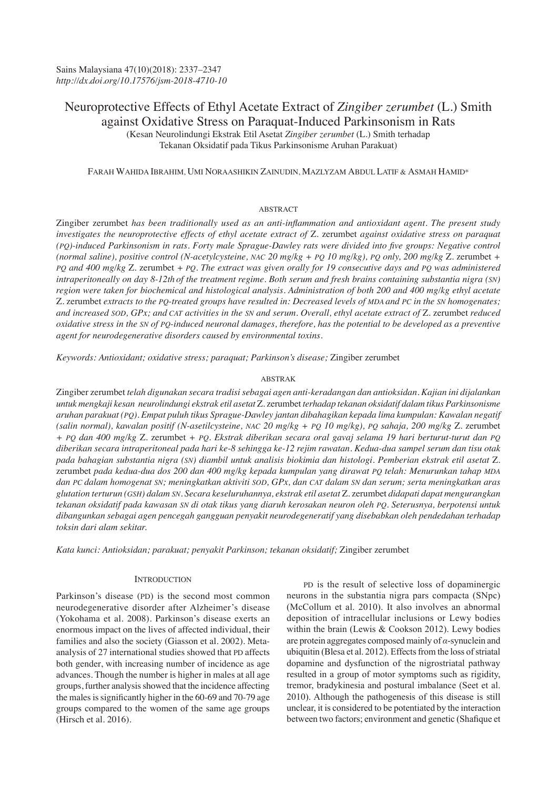# Neuroprotective Effects of Ethyl Acetate Extract of *Zingiber zerumbet* (L.) Smith against Oxidative Stress on Paraquat-Induced Parkinsonism in Rats

(Kesan Neurolindungi Ekstrak Etil Asetat *Zingiber zerumbet* (L.) Smith terhadap Tekanan Oksidatif pada Tikus Parkinsonisme Aruhan Parakuat)

# FARAH WAHIDA IBRAHIM, UMI NORAASHIKIN ZAINUDIN, MAZLYZAM ABDUL LATIF & ASMAH HAMID\*

# ABSTRACT

Zingiber zerumbet *has been traditionally used as an anti-inflammation and antioxidant agent. The present study investigates the neuroprotective effects of ethyl acetate extract of* Z. zerumbet *against oxidative stress on paraquat (PQ)-induced Parkinsonism in rats. Forty male Sprague-Dawley rats were divided into five groups: Negative control (normal saline), positive control (N-acetylcysteine, NAC 20 mg/kg + PQ 10 mg/kg), PQ only, 200 mg/kg* Z. zerumbet *+ PQ and 400 mg/kg* Z. zerumbet *+ PQ. The extract was given orally for 19 consecutive days and PQ was administered intraperitoneally on day 8-12th of the treatment regime. Both serum and fresh brains containing substantia nigra (SN) region were taken for biochemical and histological analysis. Administration of both 200 and 400 mg/kg ethyl acetate*  Z. zerumbet *extracts to the PQ-treated groups have resulted in: Decreased levels of MDA and PC in the SN homogenates; and increased SOD, GPx; and CAT activities in the SN and serum. Overall, ethyl acetate extract of* Z. zerumbet *reduced oxidative stress in the SN of PQ-induced neuronal damages, therefore, has the potential to be developed as a preventive agent for neurodegenerative disorders caused by environmental toxins.*

*Keywords: Antioxidant; oxidative stress; paraquat; Parkinson's disease;* Zingiber zerumbet

## ABSTRAK

Zingiber zerumbet *telah digunakan secara tradisi sebagai agen anti-keradangan dan antioksidan. Kajian ini dijalankan untuk mengkaji kesan neurolindungi ekstrak etil asetat* Z. zerumbet *terhadap tekanan oksidatif dalam tikus Parkinsonisme aruhan parakuat (PQ). Empat puluh tikus Sprague-Dawley jantan dibahagikan kepada lima kumpulan: Kawalan negatif (salin normal), kawalan positif (N-asetilcysteine, NAC 20 mg/kg + PQ 10 mg/kg), PQ sahaja, 200 mg/kg* Z. zerumbet *+ PQ dan 400 mg/kg* Z. zerumbet *+ PQ. Ekstrak diberikan secara oral gavaj selama 19 hari berturut-turut dan PQ diberikan secara intraperitoneal pada hari ke-8 sehingga ke-12 rejim rawatan. Kedua-dua sampel serum dan tisu otak pada bahagian substantia nigra (SN) diambil untuk analisis biokimia dan histologi. Pemberian ekstrak etil asetat* Z. zerumbet *pada kedua-dua dos 200 dan 400 mg/kg kepada kumpulan yang dirawat PQ telah: Menurunkan tahap MDA dan PC dalam homogenat SN; meningkatkan aktiviti SOD, GPx, dan CAT dalam SN dan serum; serta meningkatkan aras glutation terturun (GSH) dalam SN. Secara keseluruhannya, ekstrak etil asetat* Z. zerumbet *didapati dapat mengurangkan tekanan oksidatif pada kawasan SN di otak tikus yang diaruh kerosakan neuron oleh PQ. Seterusnya, berpotensi untuk dibangunkan sebagai agen pencegah gangguan penyakit neurodegeneratif yang disebabkan oleh pendedahan terhadap toksin dari alam sekitar.*

*Kata kunci: Antioksidan; parakuat; penyakit Parkinson; tekanan oksidatif;* Zingiber zerumbet

# **INTRODUCTION**

Parkinson's disease (PD) is the second most common neurodegenerative disorder after Alzheimer's disease (Yokohama et al. 2008). Parkinson's disease exerts an enormous impact on the lives of affected individual, their families and also the society (Giasson et al. 2002). Metaanalysis of 27 international studies showed that PD affects both gender, with increasing number of incidence as age advances. Though the number is higher in males at all age groups, further analysis showed that the incidence affecting the males is significantly higher in the 60-69 and 70-79 age groups compared to the women of the same age groups (Hirsch et al. 2016).

PD is the result of selective loss of dopaminergic neurons in the substantia nigra pars compacta (SNpc) (McCollum et al. 2010). It also involves an abnormal deposition of intracellular inclusions or Lewy bodies within the brain (Lewis & Cookson 2012). Lewy bodies are protein aggregates composed mainly of *α*-synuclein and ubiquitin (Blesa et al. 2012). Effects from the loss of striatal dopamine and dysfunction of the nigrostriatal pathway resulted in a group of motor symptoms such as rigidity, tremor, bradykinesia and postural imbalance (Seet et al. 2010). Although the pathogenesis of this disease is still unclear, it is considered to be potentiated by the interaction between two factors; environment and genetic (Shafique et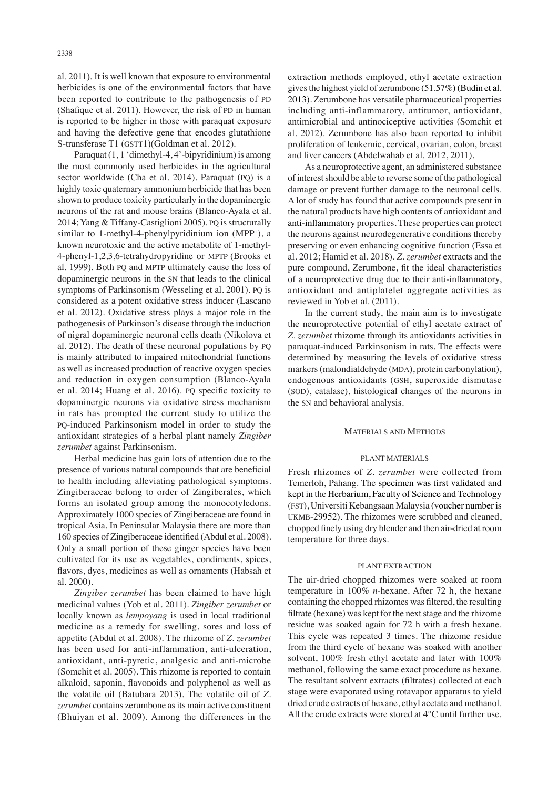al. 2011). It is well known that exposure to environmental herbicides is one of the environmental factors that have been reported to contribute to the pathogenesis of PD (Shafique et al. 2011). However, the risk of PD in human is reported to be higher in those with paraquat exposure and having the defective gene that encodes glutathione S-transferase T1 (GSTT1)(Goldman et al. 2012).

Paraquat (1, 1 'dimethyl-4, 4'-bipyridinium) is among the most commonly used herbicides in the agricultural sector worldwide (Cha et al. 2014). Paraquat (PQ) is a highly toxic quaternary ammonium herbicide that has been shown to produce toxicity particularly in the dopaminergic neurons of the rat and mouse brains (Blanco-Ayala et al. 2014; Yang & Tiffany-Castiglioni 2005). PQ is structurally similar to 1-methyl-4-phenylpyridinium ion (MPP<sup>+</sup>), a known neurotoxic and the active metabolite of 1-methyl-4-phenyl-1,2,3,6-tetrahydropyridine or MPTP (Brooks et al. 1999). Both PQ and MPTP ultimately cause the loss of dopaminergic neurons in the SN that leads to the clinical symptoms of Parkinsonism (Wesseling et al. 2001). PQ is considered as a potent oxidative stress inducer (Lascano et al. 2012). Oxidative stress plays a major role in the pathogenesis of Parkinson's disease through the induction of nigral dopaminergic neuronal cells death (Nikolova et al. 2012). The death of these neuronal populations by PQ is mainly attributed to impaired mitochondrial functions as well as increased production of reactive oxygen species and reduction in oxygen consumption (Blanco-Ayala et al. 2014; Huang et al. 2016). PQ specific toxicity to dopaminergic neurons via oxidative stress mechanism in rats has prompted the current study to utilize the PQ-induced Parkinsonism model in order to study the antioxidant strategies of a herbal plant namely *Zingiber zerumbet* against Parkinsonism.

Herbal medicine has gain lots of attention due to the presence of various natural compounds that are beneficial to health including alleviating pathological symptoms. Zingiberaceae belong to order of Zingiberales, which forms an isolated group among the monocotyledons. Approximately 1000 species of Zingiberaceae are found in tropical Asia. In Peninsular Malaysia there are more than 160 species of Zingiberaceae identified (Abdul et al. 2008). Only a small portion of these ginger species have been cultivated for its use as vegetables, condiments, spices, flavors, dyes, medicines as well as ornaments (Habsah et al. 2000).

*Zingiber zerumbet* has been claimed to have high medicinal values (Yob et al. 2011). *Zingiber zerumbet* or locally known as *lempoyang* is used in local traditional medicine as a remedy for swelling, sores and loss of appetite (Abdul et al. 2008). The rhizome of *Z. zerumbet* has been used for anti-inflammation, anti-ulceration, antioxidant, anti-pyretic, analgesic and anti-microbe (Somchit et al. 2005). This rhizome is reported to contain alkaloid, saponin, flavonoids and polyphenol as well as the volatile oil (Batubara 2013). The volatile oil of *Z. zerumbet* contains zerumbone as its main active constituent (Bhuiyan et al. 2009). Among the differences in the extraction methods employed, ethyl acetate extraction gives the highest yield of zerumbone (51.57%) (Budin et al. 2013). Zerumbone has versatile pharmaceutical properties including anti-inflammatory, antitumor, antioxidant, antimicrobial and antinociceptive activities (Somchit et al. 2012). Zerumbone has also been reported to inhibit proliferation of leukemic, cervical, ovarian, colon, breast and liver cancers (Abdelwahab et al. 2012, 2011).

As a neuroprotective agent, an administered substance of interest should be able to reverse some of the pathological damage or prevent further damage to the neuronal cells. A lot of study has found that active compounds present in the natural products have high contents of antioxidant and anti-inflammatory properties. These properties can protect the neurons against neurodegenerative conditions thereby preserving or even enhancing cognitive function (Essa et al. 2012; Hamid et al. 2018). *Z. zerumbet* extracts and the pure compound, Zerumbone, fit the ideal characteristics of a neuroprotective drug due to their anti-inflammatory, antioxidant and antiplatelet aggregate activities as reviewed in Yob et al. (2011).

In the current study, the main aim is to investigate the neuroprotective potential of ethyl acetate extract of *Z. zerumbet* rhizome through its antioxidants activities in paraquat-induced Parkinsonism in rats. The effects were determined by measuring the levels of oxidative stress markers (malondialdehyde (MDA), protein carbonylation), endogenous antioxidants (GSH, superoxide dismutase (SOD), catalase), histological changes of the neurons in the SN and behavioral analysis.

#### MATERIALS AND METHODS

#### PLANT MATERIALS

Fresh rhizomes of *Z. zerumbet* were collected from Temerloh, Pahang. The specimen was first validated and kept in the Herbarium, Faculty of Science and Technology (FST), Universiti Kebangsaan Malaysia (voucher number is UKMB-29952). The rhizomes were scrubbed and cleaned, chopped finely using dry blender and then air-dried at room temperature for three days.

#### PLANT EXTRACTION

The air-dried chopped rhizomes were soaked at room temperature in 100% *n*-hexane. After 72 h, the hexane containing the chopped rhizomes was filtered, the resulting filtrate (hexane) was kept for the next stage and the rhizome residue was soaked again for 72 h with a fresh hexane. This cycle was repeated 3 times. The rhizome residue from the third cycle of hexane was soaked with another solvent, 100% fresh ethyl acetate and later with 100% methanol, following the same exact procedure as hexane. The resultant solvent extracts (filtrates) collected at each stage were evaporated using rotavapor apparatus to yield dried crude extracts of hexane, ethyl acetate and methanol. All the crude extracts were stored at 4°C until further use.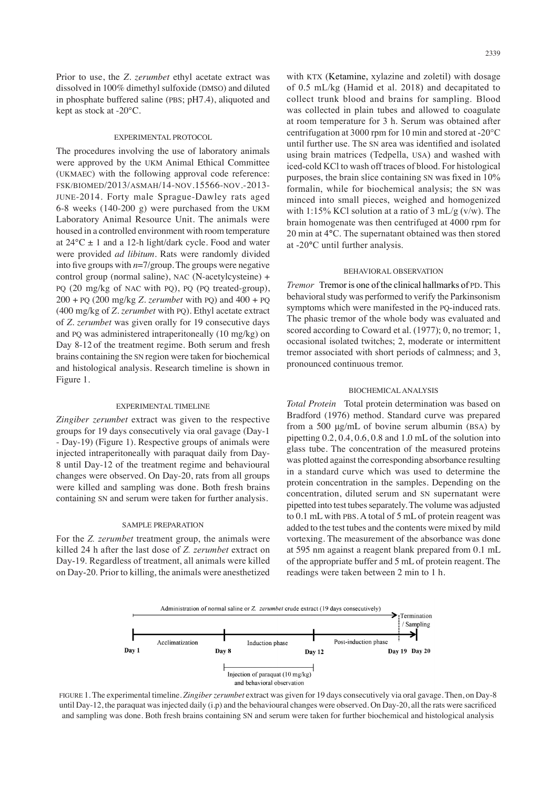Prior to use, the *Z. zerumbet* ethyl acetate extract was dissolved in 100% dimethyl sulfoxide (DMSO) and diluted in phosphate buffered saline (PBS; pH7.4), aliquoted and kept as stock at -20°C.

## EXPERIMENTAL PROTOCOL

The procedures involving the use of laboratory animals were approved by the UKM Animal Ethical Committee (UKMAEC) with the following approval code reference: FSK/BIOMED/2013/ASMAH/14-NOV.15566-NOV.-2013- JUNE-2014. Forty male Sprague-Dawley rats aged 6-8 weeks (140-200 g) were purchased from the UKM Laboratory Animal Resource Unit. The animals were housed in a controlled environment with room temperature at  $24^{\circ}$ C  $\pm$  1 and a 12-h light/dark cycle. Food and water were provided *ad libitum*. Rats were randomly divided into five groups with *n*=7/group. The groups were negative control group (normal saline), NAC (N-acetylcysteine) + PQ (20 mg/kg of NAC with PQ), PQ (PQ treated-group), 200 + PQ (200 mg/kg *Z. zerumbet* with PQ) and 400 + PQ (400 mg/kg of *Z. zerumbet* with PQ). Ethyl acetate extract of *Z. zerumbet* was given orally for 19 consecutive days and PQ was administered intraperitoneally (10 mg/kg) on Day 8-12 of the treatment regime. Both serum and fresh brains containing the SN region were taken for biochemical and histological analysis. Research timeline is shown in Figure 1.

## EXPERIMENTAL TIMELINE

*Zingiber zerumbet* extract was given to the respective groups for 19 days consecutively via oral gavage (Day-1 - Day-19) (Figure 1). Respective groups of animals were injected intraperitoneally with paraquat daily from Day-8 until Day-12 of the treatment regime and behavioural changes were observed. On Day-20, rats from all groups were killed and sampling was done. Both fresh brains containing SN and serum were taken for further analysis.

#### SAMPLE PREPARATION

For the *Z. zerumbet* treatment group, the animals were killed 24 h after the last dose of *Z. zerumbet* extract on Day-19. Regardless of treatment, all animals were killed on Day-20. Prior to killing, the animals were anesthetized with KTX (Ketamine, xylazine and zoletil) with dosage of 0.5 mL/kg (Hamid et al. 2018) and decapitated to collect trunk blood and brains for sampling. Blood was collected in plain tubes and allowed to coagulate at room temperature for 3 h. Serum was obtained after centrifugation at 3000 rpm for 10 min and stored at -20°C until further use. The SN area was identified and isolated using brain matrices (Tedpella, USA) and washed with iced-cold KCl to wash off traces of blood. For histological purposes, the brain slice containing SN was fixed in 10% formalin, while for biochemical analysis; the SN was minced into small pieces, weighed and homogenized with 1:15% KCl solution at a ratio of 3 mL/g  $(v/w)$ . The brain homogenate was then centrifuged at 4000 rpm for 20 min at 4**°**C. The supernatant obtained was then stored at -20**°**C until further analysis.

## BEHAVIORAL OBSERVATION

*Tremor* Tremor is one of the clinical hallmarks of PD. This behavioral study was performed to verify the Parkinsonism symptoms which were manifested in the PQ-induced rats. The phasic tremor of the whole body was evaluated and scored according to Coward et al. (1977); 0, no tremor; 1, occasional isolated twitches; 2, moderate or intermittent tremor associated with short periods of calmness; and 3, pronounced continuous tremor.

#### BIOCHEMICAL ANALYSIS

*Total Protein* Total protein determination was based on Bradford (1976) method. Standard curve was prepared from a 500 μg/mL of bovine serum albumin (BSA) by pipetting 0.2, 0.4, 0.6, 0.8 and 1.0 mL of the solution into glass tube. The concentration of the measured proteins was plotted against the corresponding absorbance resulting in a standard curve which was used to determine the protein concentration in the samples. Depending on the concentration, diluted serum and SN supernatant were pipetted into test tubes separately. The volume was adjusted to 0.1 mL with PBS. A total of 5 mL of protein reagent was added to the test tubes and the contents were mixed by mild vortexing. The measurement of the absorbance was done at 595 nm against a reagent blank prepared from 0.1 mL of the appropriate buffer and 5 mL of protein reagent. The readings were taken between 2 min to 1 h.



FIGURE 1. The experimental timeline. *Zingiber zerumbet* extract was given for 19 days consecutively via oral gavage. Then, on Day-8 until Day-12, the paraquat was injected daily (i.p) and the behavioural changes were observed. On Day-20, all the rats were sacrificed and sampling was done. Both fresh brains containing SN and serum were taken for further biochemical and histological analysis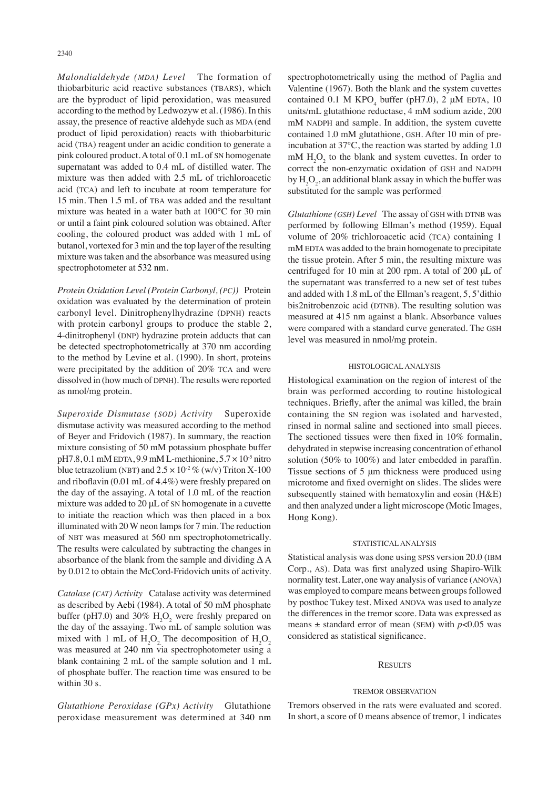*Malondialdehyde (MDA) Level* The formation of thiobarbituric acid reactive substances (TBARS), which are the byproduct of lipid peroxidation, was measured according to the method by Ledwozyw et al. (1986). In this assay, the presence of reactive aldehyde such as MDA (end product of lipid peroxidation) reacts with thiobarbituric acid (TBA) reagent under an acidic condition to generate a pink coloured product. A total of 0.1 mL of SN homogenate supernatant was added to 0.4 mL of distilled water. The mixture was then added with 2.5 mL of trichloroacetic acid (TCA) and left to incubate at room temperature for 15 min. Then 1.5 mL of TBA was added and the resultant mixture was heated in a water bath at 100°C for 30 min or until a faint pink coloured solution was obtained. After cooling, the coloured product was added with 1 mL of butanol, vortexed for 3 min and the top layer of the resulting mixture was taken and the absorbance was measured using spectrophotometer at 532 nm.

*Protein Oxidation Level (Protein Carbonyl, (PC))* Protein oxidation was evaluated by the determination of protein carbonyl level. Dinitrophenylhydrazine (DPNH) reacts with protein carbonyl groups to produce the stable 2, 4-dinitrophenyl (DNP) hydrazine protein adducts that can be detected spectrophotometrically at 370 nm according to the method by Levine et al. (1990). In short, proteins were precipitated by the addition of 20% TCA and were dissolved in (how much of DPNH). The results were reported as nmol/mg protein.

*Superoxide Dismutase (SOD) Activity* Superoxide dismutase activity was measured according to the method of Beyer and Fridovich (1987). In summary, the reaction mixture consisting of 50 mM potassium phosphate buffer  $pH7.8$ , 0.1 mM EDTA, 9.9 mM L-methionine,  $5.7 \times 10^{-5}$  nitro blue tetrazolium (NBT) and  $2.5 \times 10^{-2}$  % (w/v) Triton X-100 and riboflavin (0.01 mL of 4.4%) were freshly prepared on the day of the assaying. A total of 1.0 mL of the reaction mixture was added to 20 μL of SN homogenate in a cuvette to initiate the reaction which was then placed in a box illuminated with 20 W neon lamps for 7 min. The reduction of NBT was measured at 560 nm spectrophotometrically. The results were calculated by subtracting the changes in absorbance of the blank from the sample and dividing  $\Delta A$ by 0.012 to obtain the McCord-Fridovich units of activity.

*Catalase (CAT) Activity* Catalase activity was determined as described by Aebi (1984). A total of 50 mM phosphate buffer (pH7.0) and 30%  $H_2O_2$  were freshly prepared on the day of the assaying. Two mL of sample solution was mixed with 1 mL of  $H_2O_2$ . The decomposition of  $H_2O_2$ was measured at 240 nm via spectrophotometer using a blank containing 2 mL of the sample solution and 1 mL of phosphate buffer. The reaction time was ensured to be within 30 s.

*Glutathione Peroxidase (GPx) Activity* Glutathione peroxidase measurement was determined at 340 nm spectrophotometrically using the method of Paglia and Valentine (1967). Both the blank and the system cuvettes contained 0.1 M  $KPO_4$  buffer (pH7.0), 2  $\mu$ M EDTA, 10 units/mL glutathione reductase, 4 mM sodium azide, 200 mM NADPH and sample. In addition, the system cuvette contained 1.0 mM glutathione, GSH. After 10 min of preincubation at 37°C, the reaction was started by adding 1.0 mM  $H_2O_2$  to the blank and system cuvettes. In order to correct the non-enzymatic oxidation of GSH and NADPH by  $H_2O_2$ , an additional blank assay in which the buffer was substituted for the sample was performed.

*Glutathione (GSH) Level* The assay of GSH with DTNB was performed by following Ellman's method (1959). Equal volume of 20% trichloroacetic acid (TCA) containing 1 mM EDTA was added to the brain homogenate to precipitate the tissue protein. After 5 min, the resulting mixture was centrifuged for 10 min at 200 rpm. A total of 200 μL of the supernatant was transferred to a new set of test tubes and added with 1.8 mL of the Ellman's reagent, 5, 5'dithio bis2nitrobenzoic acid (DTNB). The resulting solution was measured at 415 nm against a blank. Absorbance values were compared with a standard curve generated. The GSH level was measured in nmol/mg protein.

#### HISTOLOGICAL ANALYSIS

Histological examination on the region of interest of the brain was performed according to routine histological techniques. Briefly, after the animal was killed, the brain containing the SN region was isolated and harvested, rinsed in normal saline and sectioned into small pieces. The sectioned tissues were then fixed in 10% formalin, dehydrated in stepwise increasing concentration of ethanol solution (50% to 100%) and later embedded in paraffin. Tissue sections of 5 μm thickness were produced using microtome and fixed overnight on slides. The slides were subsequently stained with hematoxylin and eosin (H&E) and then analyzed under a light microscope (Motic Images, Hong Kong).

#### STATISTICAL ANALYSIS

Statistical analysis was done using SPSS version 20.0 (IBM Corp., AS). Data was first analyzed using Shapiro-Wilk normality test. Later, one way analysis of variance (ANOVA) was employed to compare means between groups followed by posthoc Tukey test. Mixed ANOVA was used to analyze the differences in the tremor score. Data was expressed as means  $\pm$  standard error of mean (SEM) with  $p$ <0.05 was considered as statistical significance.

## **RESULTS**

#### TREMOR OBSERVATION

Tremors observed in the rats were evaluated and scored. In short, a score of 0 means absence of tremor, 1 indicates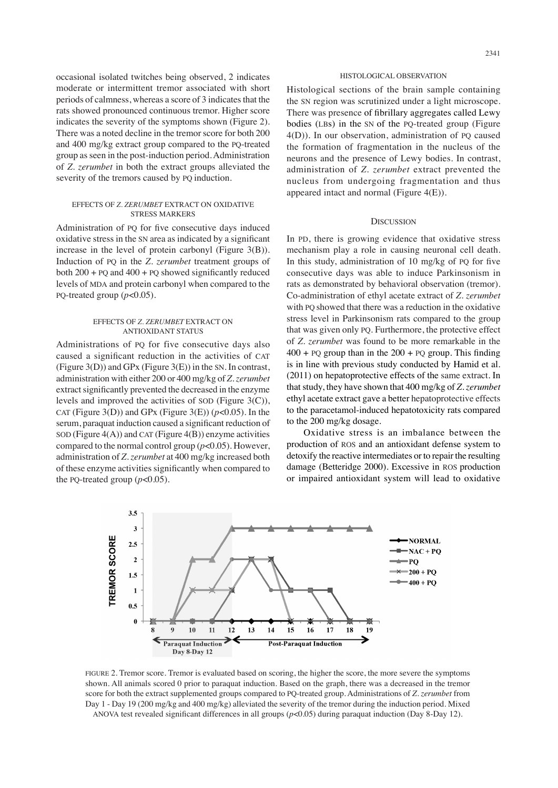occasional isolated twitches being observed, 2 indicates moderate or intermittent tremor associated with short periods of calmness, whereas a score of 3 indicates that the rats showed pronounced continuous tremor. Higher score indicates the severity of the symptoms shown (Figure 2). There was a noted decline in the tremor score for both 200 and 400 mg/kg extract group compared to the PQ-treated group as seen in the post-induction period. Administration of *Z. zerumbet* in both the extract groups alleviated the severity of the tremors caused by PQ induction.

## EFFECTS OF *Z. ZERUMBET* EXTRACT ON OXIDATIVE STRESS MARKERS

Administration of PQ for five consecutive days induced oxidative stress in the SN area as indicated by a significant increase in the level of protein carbonyl (Figure 3(B)). Induction of PQ in the *Z. zerumbet* treatment groups of both  $200 + PQ$  and  $400 + PQ$  showed significantly reduced levels of MDA and protein carbonyl when compared to the PQ-treated group  $(p<0.05)$ .

## EFFECTS OF *Z. ZERUMBET* EXTRACT ON ANTIOXIDANT STATUS

Administrations of PQ for five consecutive days also caused a significant reduction in the activities of CAT (Figure 3(D)) and GPx (Figure 3(E)) in the SN. In contrast, administration with either 200 or 400 mg/kg of *Z. zerumbet*  extract significantly prevented the decreased in the enzyme levels and improved the activities of SOD (Figure 3(C)), CAT (Figure 3(D)) and GPx (Figure 3(E))  $(p<0.05)$ . In the serum, paraquat induction caused a significant reduction of SOD (Figure  $4(A)$ ) and CAT (Figure  $4(B)$ ) enzyme activities compared to the normal control group (*p*<0.05). However, administration of *Z. zerumbet* at 400 mg/kg increased both of these enzyme activities significantly when compared to the PQ-treated group  $(p<0.05)$ .

# HISTOLOGICAL OBSERVATION

Histological sections of the brain sample containing the SN region was scrutinized under a light microscope. There was presence of fibrillary aggregates called Lewy bodies (LBs) in the SN of the PQ-treated group (Figure 4(D)). In our observation, administration of PQ caused the formation of fragmentation in the nucleus of the neurons and the presence of Lewy bodies. In contrast, administration of *Z. zerumbet* extract prevented the nucleus from undergoing fragmentation and thus appeared intact and normal (Figure 4(E)).

# **DISCUSSION**

In PD, there is growing evidence that oxidative stress mechanism play a role in causing neuronal cell death. In this study, administration of 10 mg/kg of PQ for five consecutive days was able to induce Parkinsonism in rats as demonstrated by behavioral observation (tremor). Co-administration of ethyl acetate extract of *Z. zerumbet* with PQ showed that there was a reduction in the oxidative stress level in Parkinsonism rats compared to the group that was given only PQ. Furthermore, the protective effect of *Z. zerumbet* was found to be more remarkable in the  $400 + PQ$  group than in the  $200 + PQ$  group. This finding is in line with previous study conducted by Hamid et al. (2011) on hepatoprotective effects of the same extract. In that study, they have shown that 400 mg/kg of *Z. zerumbet* ethyl acetate extract gave a better hepatoprotective effects to the paracetamol-induced hepatotoxicity rats compared to the 200 mg/kg dosage.

Oxidative stress is an imbalance between the production of ROS and an antioxidant defense system to detoxify the reactive intermediates or to repair the resulting damage (Betteridge 2000). Excessive in ROS production or impaired antioxidant system will lead to oxidative



FIGURE 2. Tremor score. Tremor is evaluated based on scoring, the higher the score, the more severe the symptoms shown. All animals scored 0 prior to paraquat induction. Based on the graph, there was a decreased in the tremor score for both the extract supplemented groups compared to PQ-treated group. Administrations of *Z. zerumbet* from Day 1 - Day 19 (200 mg/kg and 400 mg/kg) alleviated the severity of the tremor during the induction period. Mixed ANOVA test revealed significant differences in all groups (*p*<0.05) during paraquat induction (Day 8-Day 12).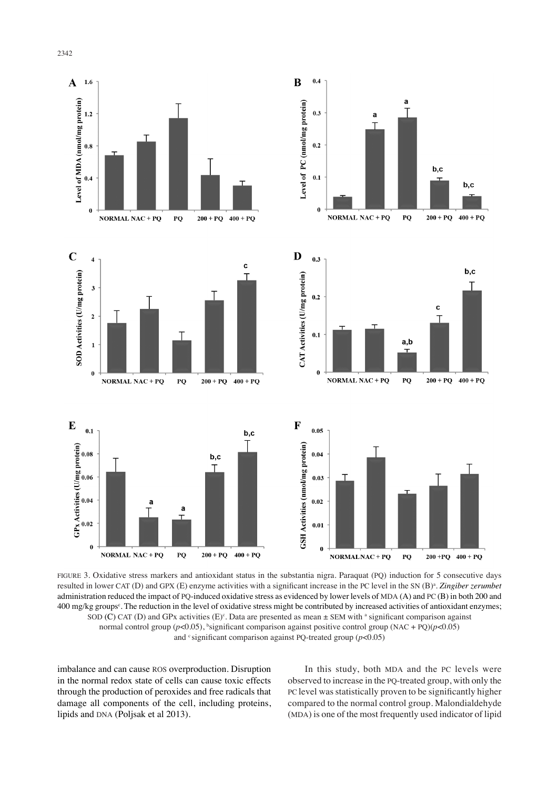

FIGURE 3. Oxidative stress markers and antioxidant status in the substantia nigra. Paraquat (PQ) induction for 5 consecutive days resulted in lower CAT (D) and GPX (E) enzyme activities with a significant increase in the PC level in the SN (B)<sup>a</sup>. Zingiber zerumbet administration reduced the impact of PQ-induced oxidative stress as evidenced by lower levels of MDA (A) and PC (B) in both 200 and 400 mg/kg groups<sup>c</sup>. The reduction in the level of oxidative stress might be contributed by increased activities of antioxidant enzymes; SOD (C) CAT (D) and GPx activities  $(E)^c$ . Data are presented as mean  $\pm$  SEM with <sup>a</sup> significant comparison against normal control group (*p*<0.05), <sup>b</sup>significant comparison against positive control group (NAC + PQ)(*p*<0.05) and  $\textdegree$  significant comparison against PQ-treated group ( $p$ <0.05)

imbalance and can cause ROS overproduction. Disruption in the normal redox state of cells can cause toxic effects through the production of peroxides and free radicals that damage all components of the cell, including proteins, lipids and DNA (Poljsak et al 2013).

In this study, both MDA and the PC levels were observed to increase in the PQ-treated group, with only the PC level was statistically proven to be significantly higher compared to the normal control group. Malondialdehyde (MDA) is one of the most frequently used indicator of lipid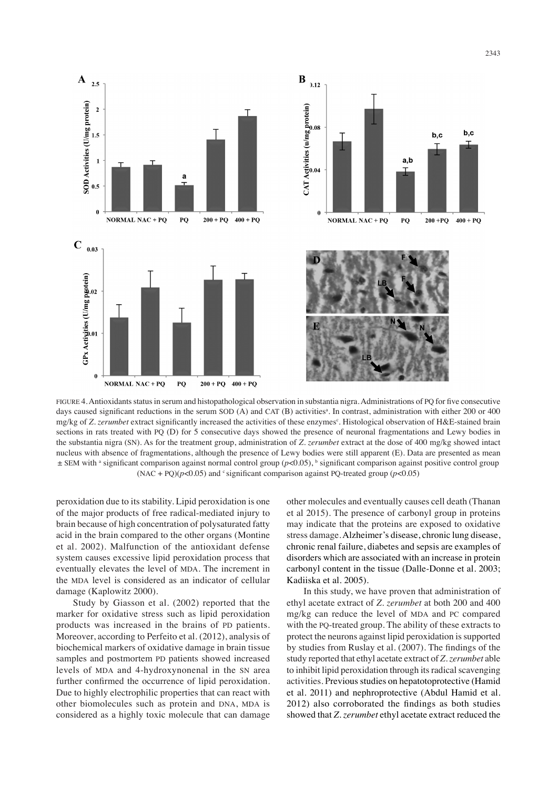

FIGURE 4. Antioxidants status in serum and histopathological observation in substantia nigra. Administrations of PQ for five consecutive days caused significant reductions in the serum SOD (A) and CAT (B) activities<sup>a</sup>. In contrast, administration with either 200 or 400 mg/kg of Z. zerumbet extract significantly increased the activities of these enzymes<sup>c</sup>. Histological observation of H&E-stained brain sections in rats treated with PQ (D) for 5 consecutive days showed the presence of neuronal fragmentations and Lewy bodies in the substantia nigra (SN). As for the treatment group, administration of *Z. zerumbet* extract at the dose of 400 mg/kg showed intact nucleus with absence of fragmentations, although the presence of Lewy bodies were still apparent (E). Data are presented as mean  $\pm$  SEM with a significant comparison against normal control group (*p*<0.05), b significant comparison against positive control group (NAC + PQ)( $p$ <0.05) and <sup>c</sup> significant comparison against PQ-treated group ( $p$ <0.05)

peroxidation due to its stability. Lipid peroxidation is one of the major products of free radical-mediated injury to brain because of high concentration of polysaturated fatty acid in the brain compared to the other organs (Montine et al. 2002). Malfunction of the antioxidant defense system causes excessive lipid peroxidation process that eventually elevates the level of MDA. The increment in the MDA level is considered as an indicator of cellular damage (Kaplowitz 2000).

Study by Giasson et al. (2002) reported that the marker for oxidative stress such as lipid peroxidation products was increased in the brains of PD patients. Moreover, according to Perfeito et al. (2012), analysis of biochemical markers of oxidative damage in brain tissue samples and postmortem PD patients showed increased levels of MDA and 4-hydroxynonenal in the SN area further confirmed the occurrence of lipid peroxidation. Due to highly electrophilic properties that can react with other biomolecules such as protein and DNA, MDA is considered as a highly toxic molecule that can damage

other molecules and eventually causes cell death (Thanan et al 2015). The presence of carbonyl group in proteins may indicate that the proteins are exposed to oxidative stress damage. Alzheimer's disease, chronic lung disease, chronic renal failure, diabetes and sepsis are examples of disorders which are associated with an increase in protein carbonyl content in the tissue (Dalle-Donne et al. 2003; Kadiiska et al. 2005).

In this study, we have proven that administration of ethyl acetate extract of *Z. zerumbet* at both 200 and 400 mg/kg can reduce the level of MDA and PC compared with the PQ-treated group. The ability of these extracts to protect the neurons against lipid peroxidation is supported by studies from Ruslay et al. (2007). The findings of the study reported that ethyl acetate extract of *Z. zerumbet* able to inhibit lipid peroxidation through its radical scavenging activities. Previous studies on hepatotoprotective (Hamid et al. 2011) and nephroprotective (Abdul Hamid et al. 2012) also corroborated the findings as both studies showed that *Z. zerumbet* ethyl acetate extract reduced the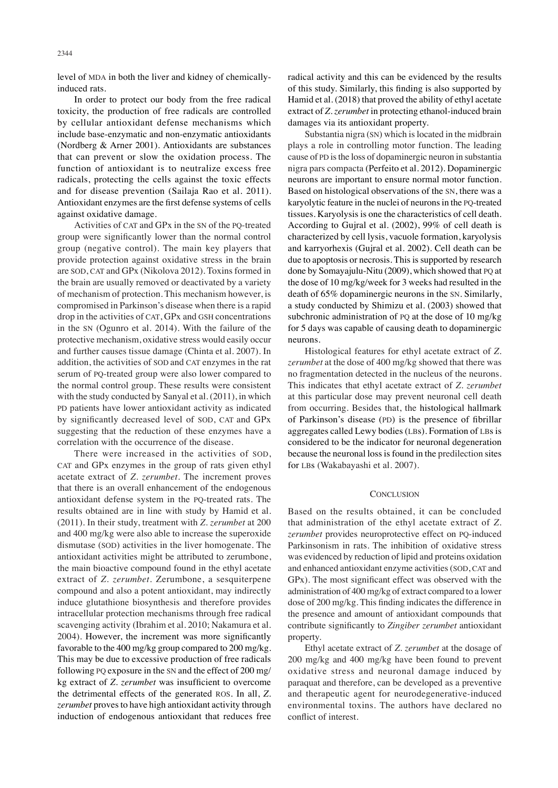level of MDA in both the liver and kidney of chemicallyinduced rats.

In order to protect our body from the free radical toxicity, the production of free radicals are controlled by cellular antioxidant defense mechanisms which include base-enzymatic and non-enzymatic antioxidants (Nordberg & Arner 2001). Antioxidants are substances that can prevent or slow the oxidation process. The function of antioxidant is to neutralize excess free radicals, protecting the cells against the toxic effects and for disease prevention (Sailaja Rao et al. 2011). Antioxidant enzymes are the first defense systems of cells against oxidative damage.

Activities of CAT and GPx in the SN of the PQ-treated group were significantly lower than the normal control group (negative control). The main key players that provide protection against oxidative stress in the brain are SOD, CAT and GPx (Nikolova 2012). Toxins formed in the brain are usually removed or deactivated by a variety of mechanism of protection. This mechanism however, is compromised in Parkinson's disease when there is a rapid drop in the activities of CAT, GPx and GSH concentrations in the SN (Ogunro et al. 2014). With the failure of the protective mechanism, oxidative stress would easily occur and further causes tissue damage (Chinta et al. 2007). In addition, the activities of SOD and CAT enzymes in the rat serum of PQ-treated group were also lower compared to the normal control group. These results were consistent with the study conducted by Sanyal et al. (2011), in which PD patients have lower antioxidant activity as indicated by significantly decreased level of SOD, CAT and GPx suggesting that the reduction of these enzymes have a correlation with the occurrence of the disease.

There were increased in the activities of SOD, CAT and GPx enzymes in the group of rats given ethyl acetate extract of *Z. zerumbet*. The increment proves that there is an overall enhancement of the endogenous antioxidant defense system in the PQ-treated rats. The results obtained are in line with study by Hamid et al. (2011). In their study, treatment with *Z. zerumbet* at 200 and 400 mg/kg were also able to increase the superoxide dismutase (SOD) activities in the liver homogenate. The antioxidant activities might be attributed to zerumbone, the main bioactive compound found in the ethyl acetate extract of *Z. zerumbet.* Zerumbone, a sesquiterpene compound and also a potent antioxidant, may indirectly induce glutathione biosynthesis and therefore provides intracellular protection mechanisms through free radical scavenging activity (Ibrahim et al. 2010; Nakamura et al. 2004). However, the increment was more significantly favorable to the 400 mg/kg group compared to 200 mg/kg. This may be due to excessive production of free radicals following PQ exposure in the SN and the effect of 200 mg/ kg extract of *Z. zerumbet* was insufficient to overcome the detrimental effects of the generated ROS. In all, *Z. zerumbet* proves to have high antioxidant activity through induction of endogenous antioxidant that reduces free

radical activity and this can be evidenced by the results of this study. Similarly, this finding is also supported by Hamid et al. (2018) that proved the ability of ethyl acetate extract of *Z. zerumbet* in protecting ethanol-induced brain damages via its antioxidant property.

Substantia nigra (SN) which is located in the midbrain plays a role in controlling motor function. The leading cause of PD is the loss of dopaminergic neuron in substantia nigra pars compacta (Perfeito et al. 2012). Dopaminergic neurons are important to ensure normal motor function. Based on histological observations of the SN, there was a karyolytic feature in the nuclei of neurons in the PQ-treated tissues. Karyolysis is one the characteristics of cell death. According to Gujral et al. (2002), 99% of cell death is characterized by cell lysis, vacuole formation, karyolysis and karryorhexis (Gujral et al. 2002). Cell death can be due to apoptosis or necrosis. This is supported by research done by Somayajulu-Nitu (2009), which showed that PQ at the dose of 10 mg/kg/week for 3 weeks had resulted in the death of 65% dopaminergic neurons in the SN. Similarly, a study conducted by Shimizu et al. (2003) showed that subchronic administration of PQ at the dose of 10 mg/kg for 5 days was capable of causing death to dopaminergic neurons.

Histological features for ethyl acetate extract of *Z. zerumbet* at the dose of 400 mg/kg showed that there was no fragmentation detected in the nucleus of the neurons. This indicates that ethyl acetate extract of *Z. zerumbet* at this particular dose may prevent neuronal cell death from occurring. Besides that, the histological hallmark of Parkinson's disease (PD) is the presence of fibrillar aggregates called Lewy bodies (LBs). Formation of LBs is considered to be the indicator for neuronal degeneration because the neuronal loss is found in the predilection sites for LBs (Wakabayashi et al. 2007).

## **CONCLUSION**

Based on the results obtained, it can be concluded that administration of the ethyl acetate extract of *Z. zerumbet* provides neuroprotective effect on PQ-induced Parkinsonism in rats. The inhibition of oxidative stress was evidenced by reduction of lipid and proteins oxidation and enhanced antioxidant enzyme activities (SOD, CAT and GPx). The most significant effect was observed with the administration of 400 mg/kg of extract compared to a lower dose of 200 mg/kg. This finding indicates the difference in the presence and amount of antioxidant compounds that contribute significantly to *Zingiber zerumbet* antioxidant property.

Ethyl acetate extract of *Z. zerumbet* at the dosage of 200 mg/kg and 400 mg/kg have been found to prevent oxidative stress and neuronal damage induced by paraquat and therefore, can be developed as a preventive and therapeutic agent for neurodegenerative-induced environmental toxins. The authors have declared no conflict of interest.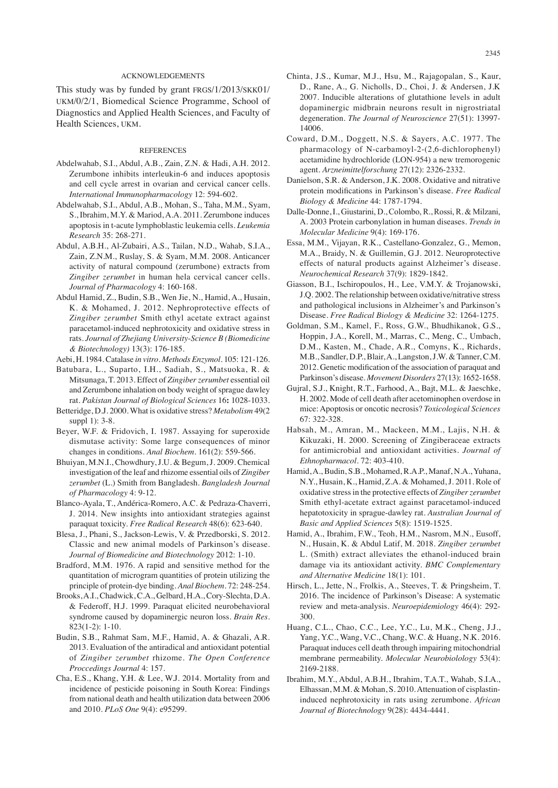## ACKNOWLEDGEMENTS

This study was by funded by grant FRGS/1/2013/SKK01/ UKM/0/2/1, Biomedical Science Programme, School of Diagnostics and Applied Health Sciences, and Faculty of Health Sciences, UKM.

## **REFERENCES**

- Abdelwahab, S.I., Abdul, A.B., Zain, Z.N. & Hadi, A.H. 2012. Zerumbone inhibits interleukin-6 and induces apoptosis and cell cycle arrest in ovarian and cervical cancer cells. *International Immunopharmacology* 12: 594-602.
- Abdelwahab, S.I., Abdul, A.B., Mohan, S., Taha, M.M., Syam, S., Ibrahim, M.Y. & Mariod, A.A. 2011. Zerumbone induces apoptosis in t-acute lymphoblastic leukemia cells. *Leukemia Research* 35: 268-271.
- Abdul, A.B.H., Al-Zubairi, A.S., Tailan, N.D., Wahab, S.I.A., Zain, Z.N.M., Ruslay, S. & Syam, M.M. 2008. Anticancer activity of natural compound (zerumbone) extracts from *Zingiber zerumbet* in human hela cervical cancer cells. *Journal of Pharmacology* 4: 160-168.
- Abdul Hamid, Z., Budin, S.B., Wen Jie, N., Hamid, A., Husain, K. & Mohamed, J. 2012. Nephroprotective effects of *Zingiber zerumbet* Smith ethyl acetate extract against paracetamol-induced nephrotoxicity and oxidative stress in rats. *Journal of Zhejiang University-Science B (Biomedicine & Biotechnology)* 13(3): 176-185.
- Aebi, H. 1984. Catalase *in vitro*. *Methods Enzymol*. 105: 121-126.
- Batubara, L., Suparto, I.H., Sadiah, S., Matsuoka, R. & Mitsunaga, T. 2013. Effect of *Zingiber zerumbet* essential oil and Zerumbone inhalation on body weight of sprague dawley rat. *Pakistan Journal of Biological Sciences* 16**:** 1028-1033. Betteridge, D.J. 2000. What is oxidative stress? *Metabolism* 49(2
- suppl 1): 3-8. Beyer, W.F. & Fridovich, I. 1987. Assaying for superoxide dismutase activity: Some large consequences of minor
- changes in conditions. *Anal Biochem.* 161(2): 559-566. Bhuiyan, M.N.I., Chowdhury, J.U. & Begum, J. 2009. Chemical investigation of the leaf and rhizome essential oils of *Zingiber zerumbet* (L.) Smith from Bangladesh. *Bangladesh Journal*
- *of Pharmacology* 4: 9-12. Blanco-Ayala, T., Andérica-Romero, A.C. & Pedraza-Chaverri, J. 2014. New insights into antioxidant strategies against
- paraquat toxicity. *Free Radical Research* 48(6): 623-640. Blesa, J., Phani, S., Jackson-Lewis, V. & Przedborski, S. 2012.
- Classic and new animal models of Parkinson's disease*. Journal of Biomedicine and Biotechnology* 2012: 1-10.
- Bradford, M.M. 1976. A rapid and sensitive method for the quantitation of microgram quantities of protein utilizing the principle of protein-dye binding. *Anal Biochem*. 72: 248-254.
- Brooks, A.I., Chadwick, C.A., Gelbard, H.A., Cory-Slechta, D.A. & Federoff, H.J. 1999. Paraquat elicited neurobehavioral syndrome caused by dopaminergic neuron loss. *Brain Res.* 823(1-2): 1-10.
- Budin, S.B., Rahmat Sam, M.F., Hamid, A. & Ghazali, A.R. 2013. Evaluation of the antiradical and antioxidant potential of *Zingiber zerumbet* rhizome. *The Open Conference Proccedings Journal* 4: 157.
- Cha, E.S., Khang, Y.H. & Lee, W.J. 2014. Mortality from and incidence of pesticide poisoning in South Korea: Findings from national death and health utilization data between 2006 and 2010. *PLoS One* 9(4): e95299.
- Chinta, J.S., Kumar, M.J., Hsu, M., Rajagopalan, S., Kaur, D., Rane, A., G. Nicholls, D., Choi, J. & Andersen, J.K 2007. Inducible alterations of glutathione levels in adult dopaminergic midbrain neurons result in nigrostriatal degeneration. *The Journal of Neuroscience* 27(51): 13997- 14006.
- Coward, D.M., Doggett, N.S. & Sayers, A.C. 1977. The pharmacology of N-carbamoyl-2-(2,6-dichlorophenyl) acetamidine hydrochloride (LON-954) a new tremorogenic agent. *Arzneimittelforschung* 27(12): 2326-2332.
- Danielson, S.R. & Anderson, J.K. 2008. Oxidative and nitrative protein modifications in Parkinson's disease. *Free Radical Biology & Medicine* 44: 1787-1794.
- Dalle-Donne, I., Giustarini, D.,Colombo, R.,Rossi, R. & Milzani, A. 2003 Protein carbonylation in human diseases. *Trends in Molecular Medicine* 9(4): 169-176.
- Essa, M.M., Vijayan, R.K., Castellano-Gonzalez, G., Memon, M.A., Braidy, N. & Guillemin, G.J. 2012. Neuroprotective effects of natural products against Alzheimer's disease. *Neurochemical Research* 37(9): 1829-1842.
- Giasson, B.I., Ischiropoulos, H., Lee, V.M.Y. & Trojanowski, J.Q. 2002. The relationship between oxidative/nitrative stress and pathological inclusions in Alzheimer's and Parkinson's Disease. *Free Radical Biology & Medicine* 32: 1264-1275.
- Goldman, S.M., Kamel, F., Ross, G.W., Bhudhikanok, G.S., Hoppin, J.A., Korell, M., Marras, C., Meng, C., Umbach, D.M., Kasten, M., Chade, A.R., Comyns, K., Richards, M.B., Sandler, D.P., Blair, A., Langston, J.W. & Tanner, C.M. 2012. Genetic modification of the association of paraquat and Parkinson's disease. *Movement Disorders* 27(13): 1652-1658.
- Gujral, S.J., Knight, R.T., Farhood, A., Bajt, M.L. & Jaeschke, H. 2002. Mode of cell death after acetominophen overdose in mice: Apoptosis or oncotic necrosis? *Toxicological Sciences* 67: 322-328.
- Habsah, M., Amran, M., Mackeen, M.M., Lajis, N.H. & Kikuzaki, H. 2000. Screening of Zingiberaceae extracts for antimicrobial and antioxidant activities. *Journal of Ethnopharmacol.* 72: 403-410.
- Hamid, A., Budin, S.B., Mohamed, R.A.P., Manaf, N.A., Yuhana, N.Y., Husain, K., Hamid, Z.A. & Mohamed, J. 2011. Role of oxidative stress in the protective effects of *Zingiber zerumbet*  Smith ethyl-acetate extract against paracetamol-induced hepatotoxicity in sprague-dawley rat. *Australian Journal of Basic and Applied Sciences* 5(8): 1519-1525.
- Hamid, A., Ibrahim, F.W., Teoh, H.M., Nasrom, M.N., Eusoff, N., Husain, K. & Abdul Latif, M. 2018. *Zingiber zerumbet* L. (Smith) extract alleviates the ethanol-induced brain damage via its antioxidant activity. *BMC Complementary and Alternative Medicine* 18(1): 101.
- Hirsch, L., Jette, N., Frolkis, A., Steeves, T. & Pringsheim, T. 2016. The incidence of Parkinson's Disease: A systematic review and meta-analysis. *Neuroepidemiology* 46(4): 292- 300.
- Huang, C.L., Chao, C.C., Lee, Y.C., Lu, M.K., Cheng, J.J., Yang, Y.C., Wang, V.C., Chang, W.C. & Huang, N.K. 2016. Paraquat induces cell death through impairing mitochondrial membrane permeability. *Molecular Neurobiolology* 53(4): 2169-2188.
- Ibrahim, M.Y., Abdul, A.B.H., Ibrahim, T.A.T., Wahab, S.I.A., Elhassan, M.M. & Mohan, S. 2010. Attenuation of cisplastininduced nephrotoxicity in rats using zerumbone. *African Journal of Biotechnology* 9(28): 4434-4441.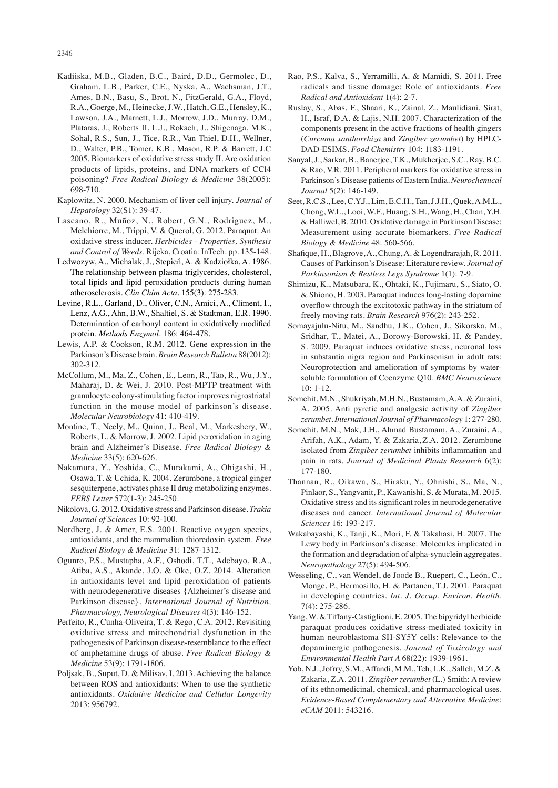- Kadiiska, M.B., Gladen, B.C., Baird, D.D., Germolec, D., Graham, L.B., Parker, C.E., Nyska, A., Wachsman, J.T., Ames, B.N., Basu, S., Brot, N., FitzGerald, G.A., Floyd, R.A., Goerge, M., Heinecke, J.W., Hatch, G.E., Hensley, K., Lawson, J.A., Marnett, L.J., Morrow, J.D., Murray, D.M., Plataras, J., Roberts II, L.J., Rokach, J., Shigenaga, M.K., Sohal, R.S., Sun, J., Tice, R.R., Van Thiel, D.H., Wellner, D., Walter, P.B., Tomer, K.B., Mason, R.P. & Barrett, J.C 2005. Biomarkers of oxidative stress study II. Are oxidation products of lipids, proteins, and DNA markers of CCl4 poisoning? *Free Radical Biology & Medicine* 38(2005): 698-710.
- Kaplowitz, N. 2000. Mechanism of liver cell injury. *Journal of Hepatology* 32(S1): 39-47.
- Lascano, R., Muñoz, N., Robert, G.N., Rodriguez, M., Melchiorre, M., Trippi, V. & Querol, G. 2012. Paraquat: An oxidative stress inducer. *Herbicides - Properties, Synthesis and Control of Weeds*. Rijeka, Croatia: InTech. pp. 135-148.
- Ledwozyw, A., Michalak, J., Stepień, A. & Kadziołka, A. 1986. The relationship between plasma triglycerides, cholesterol, total lipids and lipid peroxidation products during human atherosclerosis. *Clin Chim Acta*. 155(3): 275-283.
- Levine, R.L., Garland, D., Oliver, C.N., Amici, A., Climent, I., Lenz, A.G., Ahn, B.W., Shaltiel, S. & Stadtman, E.R. 1990. Determination of carbonyl content in oxidatively modified protein. *Methods Enzymol*. 186: 464-478.
- Lewis, A.P. & Cookson, R.M. 2012. Gene expression in the Parkinson's Disease brain. *Brain Research Bulletin* 88(2012): 302-312.
- McCollum, M., Ma, Z., Cohen, E., Leon, R., Tao, R., Wu, J.Y., Maharaj, D. & Wei, J. 2010. Post-MPTP treatment with granulocyte colony-stimulating factor improves nigrostriatal function in the mouse model of parkinson's disease. *Molecular Neurobiology* 41: 410-419.
- Montine, T., Neely, M., Quinn, J., Beal, M., Markesbery, W., Roberts, L. & Morrow, J. 2002. Lipid peroxidation in aging brain and Alzheimer's Disease. *Free Radical Biology & Medicine* 33(5): 620-626.
- Nakamura, Y., Yoshida, C., Murakami, A., Ohigashi, H., Osawa, T. & Uchida, K. 2004. Zerumbone, a tropical ginger sesquiterpene, activates phase II drug metabolizing enzymes. *FEBS Letter* 572(1-3): 245-250.
- Nikolova, G. 2012. Oxidative stress and Parkinson disease. *Trakia Journal of Sciences* 10: 92-100.
- Nordberg, J. & Arner, E.S. 2001. Reactive oxygen species, antioxidants, and the mammalian thioredoxin system. *Free Radical Biology & Medicine* 31: 1287-1312.
- Ogunro, P.S., Mustapha, A.F., Oshodi, T.T., Adebayo, R.A., Atiba, A.S., Akande, J.O. & Oke, O.Z. 2014. Alteration in antioxidants level and lipid peroxidation of patients with neurodegenerative diseases {Alzheimer's disease and Parkinson disease}. *International Journal of Nutrition, Pharmacology, Neurological Diseases* 4(3): 146-152.
- Perfeito, R., Cunha-Oliveira, T. & Rego, C.A. 2012. Revisiting oxidative stress and mitochondrial dysfunction in the pathogenesis of Parkinson disease-resemblance to the effect of amphetamine drugs of abuse*. Free Radical Biology & Medicine* 53(9): 1791-1806.
- Poljsak, B., Suput, D. & Milisav, I. 2013. Achieving the balance between ROS and antioxidants: When to use the synthetic antioxidants. *Oxidative Medicine and Cellular Longevity* 2013: 956792.
- Rao, P.S., Kalva, S., Yerramilli, A. & Mamidi, S. 2011. Free radicals and tissue damage: Role of antioxidants. *Free Radical and Antioxidant* 1(4): 2-7.
- Ruslay, S., Abas, F., Shaari, K., Zainal, Z., Maulidiani, Sirat, H., Israf, D.A. & Lajis, N.H. 2007. Characterization of the components present in the active fractions of health gingers (*Curcuma xanthorrhiza* and *Zingiber zerumbet*) by HPLC-DAD-ESIMS. *Food Chemistry* 104: 1183-1191.
- Sanyal, J., Sarkar, B., Banerjee, T.K., Mukherjee, S.C., Ray, B.C. & Rao, V.R. 2011. Peripheral markers for oxidative stress in Parkinson's Disease patients of Eastern India. *Neurochemical Journal* 5(2): 146-149.
- Seet, R.C.S., Lee, C.Y.J., Lim, E.C.H., Tan, J.J.H., Quek, A.M.L., Chong, W.L., Looi, W.F., Huang, S.H., Wang, H., Chan, Y.H. & Halliwel, B. 2010. Oxidative damage in Parkinson Disease: Measurement using accurate biomarkers. *Free Radical Biology & Medicine* 48: 560-566.
- Shafique, H., Blagrove, A., Chung, A. & Logendrarajah, R. 2011. Causes of Parkinson's Disease: Literature review. *Journal of Parkinsonism & Restless Legs Syndrome* 1(1): 7-9.
- Shimizu, K., Matsubara, K., Ohtaki, K., Fujimaru, S., Siato, O. & Shiono, H. 2003. Paraquat induces long-lasting dopamine overflow through the excitotoxic pathway in the striatum of freely moving rats. *Brain Research* 976(2): 243-252.
- Somayajulu-Nitu, M., Sandhu, J.K., Cohen, J., Sikorska, M., Sridhar, T., Matei, A., Borowy-Borowski, H. & Pandey, S. 2009. Paraquat induces oxidative stress, neuronal loss in substantia nigra region and Parkinsonism in adult rats: Neuroprotection and amelioration of symptoms by watersoluble formulation of Coenzyme Q10. *BMC Neuroscience*  10: 1-12.
- Somchit, M.N., Shukriyah, M.H.N., Bustamam, A.A. & Zuraini, A. 2005. Anti pyretic and analgesic activity of *Zingiber zerumbet*. *International Journal of Pharmacology* 1: 277-280.
- Somchit, M.N., Mak, J.H., Ahmad Bustamam, A., Zuraini, A., Arifah, A.K., Adam, Y. & Zakaria, Z.A. 2012. Zerumbone isolated from *Zingiber zerumbet* inhibits inflammation and pain in rats. *Journal of Medicinal Plants Research* 6(2): 177-180.
- Thannan, R., Oikawa, S., Hiraku, Y., Ohnishi, S., Ma, N., Pinlaor, S., Yangvanit, P., Kawanishi, S. & Murata, M. 2015. Oxidative stress and its significant roles in neurodegenerative diseases and cancer. *International Journal of Molecular Sciences* 16: 193-217.
- Wakabayashi, K., Tanji, K., Mori, F. & Takahasi, H. 2007. The Lewy body in Parkinson's disease: Molecules implicated in the formation and degradation of alpha-synuclein aggregates. *Neuropathology* 27(5): 494-506.
- Wesseling, C., van Wendel, de Joode B., Ruepert, C., León, C., Monge, P., Hermosillo, H. & Partanen, T.J. 2001. Paraquat in developing countries. *Int. J. Occup. Environ. Health*. 7(4): 275-286.
- Yang, W. & Tiffany-Castiglioni, E. 2005. The bipyridyl herbicide paraquat produces oxidative stress-mediated toxicity in human neuroblastoma SH-SY5Y cells: Relevance to the dopaminergic pathogenesis. *Journal of Toxicology and Environmental Health Part A* 68(22): 1939-1961.
- Yob, N.J., Jofrry, S.M., Affandi, M.M., Teh, L.K., Salleh, M.Z. & Zakaria, Z.A. 2011. *Zingiber zerumbet* (L.) Smith: A review of its ethnomedicinal, chemical, and pharmacological uses. *Evidence-Based Complementary and Alternative Medicine*: *eCAM* 2011: 543216.